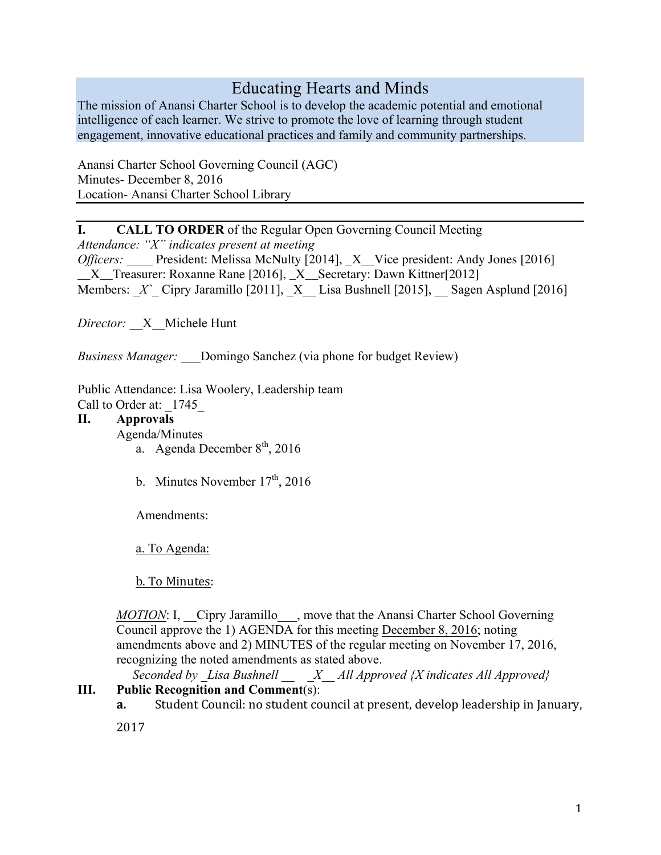# Educating Hearts and Minds

The mission of Anansi Charter School is to develop the academic potential and emotional intelligence of each learner. We strive to promote the love of learning through student engagement, innovative educational practices and family and community partnerships.

Anansi Charter School Governing Council (AGC) Minutes- December 8, 2016 Location- Anansi Charter School Library

I. CALL TO ORDER of the Regular Open Governing Council Meeting

*Attendance: "X" indicates present at meeting Officers:* President: Melissa McNulty [2014],  $\bar{X}$  Vice president: Andy Jones [2016] \_\_X\_\_Treasurer: Roxanne Rane [2016], \_X\_\_Secretary: Dawn Kittner[2012] Members: *X* Cipry Jaramillo [2011], *\_X* Lisa Bushnell [2015], *\_\_* Sagen Asplund [2016]

*Director:* \_\_X\_\_Michele Hunt

*Business Manager:* \_\_\_Domingo Sanchez (via phone for budget Review)

Public Attendance: Lisa Woolery, Leadership team Call to Order at: 1745

# II. Approvals

Agenda/Minutes

- a. Agenda December  $8<sup>th</sup>$ , 2016
- b. Minutes November  $17<sup>th</sup>$ , 2016

Amendments:

a. To Agenda:

b. To Minutes:

*MOTION*: I, Cipry Jaramillo, move that the Anansi Charter School Governing Council approve the 1) AGENDA for this meeting December 8, 2016; noting amendments above and 2) MINUTES of the regular meeting on November 17, 2016, recognizing the noted amendments as stated above.

 *Seconded by \_Lisa Bushnell \_\_ \_X\_\_ All Approved {X indicates All Approved}*

# III. Public Recognition and Comment(s):

**a.** Student Council: no student council at present, develop leadership in January,

2017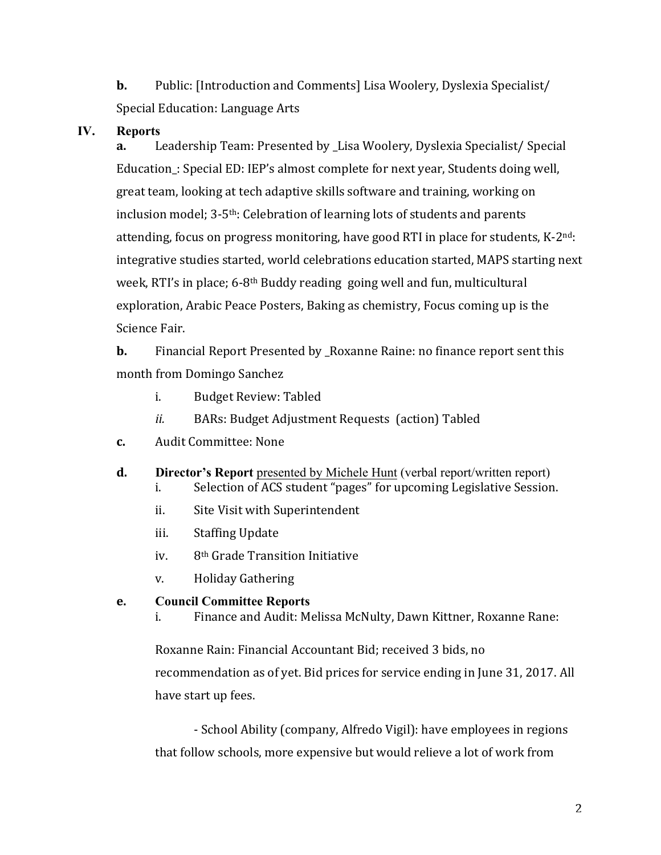**b.** Public: [Introduction and Comments] Lisa Woolery, Dyslexia Specialist/ Special Education: Language Arts

## IV. Reports

**a.** Leadership Team: Presented by Lisa Woolery, Dyslexia Specialist/ Special Education\_: Special ED: IEP's almost complete for next year, Students doing well, great team, looking at tech adaptive skills software and training, working on inclusion model;  $3-5$ <sup>th</sup>: Celebration of learning lots of students and parents attending, focus on progress monitoring, have good RTI in place for students,  $K-2^{nd}$ : integrative studies started, world celebrations education started, MAPS starting next week, RTI's in place; 6-8<sup>th</sup> Buddy reading going well and fun, multicultural exploration, Arabic Peace Posters, Baking as chemistry, Focus coming up is the Science Fair.

**b.** Financial Report Presented by Roxanne Raine: no finance report sent this month from Domingo Sanchez

- i. Budget Review: Tabled
- *ii.* BARs: Budget Adjustment Requests (action) Tabled
- **c.** Audit Committee: None
- **d.** Director's Report presented by Michele Hunt (verbal report/written report)
	- i. Selection of ACS student "pages" for upcoming Legislative Session.
	- ii. Site Visit with Superintendent
	- iii. Staffing Update
	- iv. 8<sup>th</sup> Grade Transition Initiative
	- v. Holiday Gathering

#### **e.** Council Committee Reports

i. Finance and Audit: Melissa McNulty, Dawn Kittner, Roxanne Rane:

Roxanne Rain: Financial Accountant Bid; received 3 bids, no recommendation as of yet. Bid prices for service ending in June 31, 2017. All have start up fees.

- School Ability (company, Alfredo Vigil): have employees in regions that follow schools, more expensive but would relieve a lot of work from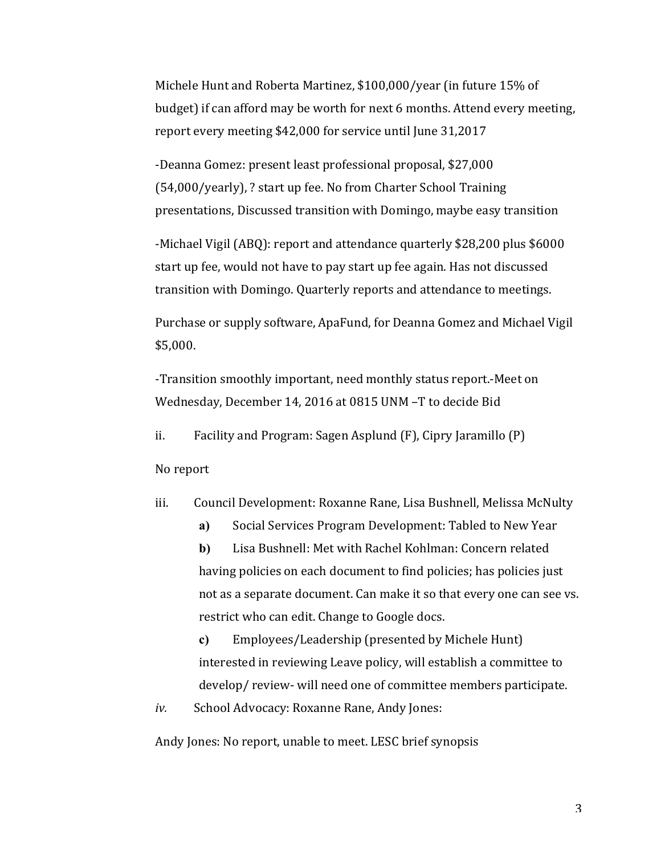Michele Hunt and Roberta Martinez, \$100,000/year (in future 15% of budget) if can afford may be worth for next 6 months. Attend every meeting, report every meeting \$42,000 for service until June 31,2017

-Deanna Gomez: present least professional proposal, \$27,000 (54,000/yearly), ? start up fee. No from Charter School Training presentations, Discussed transition with Domingo, maybe easy transition

-Michael Vigil (ABQ): report and attendance quarterly \$28,200 plus \$6000 start up fee, would not have to pay start up fee again. Has not discussed transition with Domingo. Quarterly reports and attendance to meetings.

Purchase or supply software, ApaFund, for Deanna Gomez and Michael Vigil \$5,000.

-Transition smoothly important, need monthly status report.-Meet on Wednesday, December 14, 2016 at 0815 UNM -T to decide Bid

ii. Facility and Program: Sagen Asplund  $(F)$ , Cipry Jaramillo  $(P)$ 

No report

iii. Council Development: Roxanne Rane, Lisa Bushnell, Melissa McNulty

a) Social Services Program Development: Tabled to New Year b) Lisa Bushnell: Met with Rachel Kohlman: Concern related having policies on each document to find policies; has policies just not as a separate document. Can make it so that every one can see vs. restrict who can edit. Change to Google docs.

c) Employees/Leadership (presented by Michele Hunt) interested in reviewing Leave policy, will establish a committee to develop/ review- will need one of committee members participate.

*iv.* School Advocacy: Roxanne Rane, Andy Jones:

Andy Jones: No report, unable to meet. LESC brief synopsis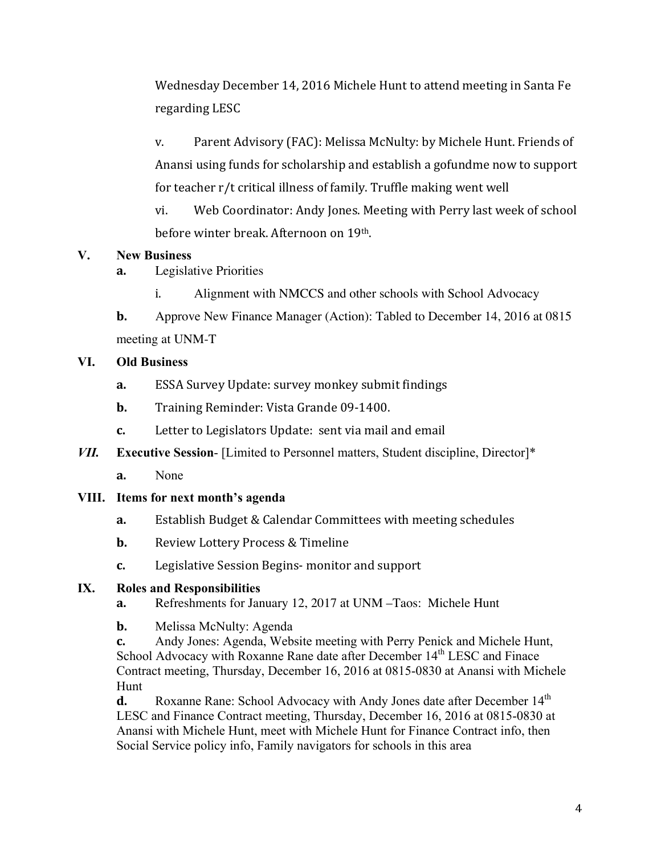Wednesday December 14, 2016 Michele Hunt to attend meeting in Santa Fe regarding LESC

v. Parent Advisory (FAC): Melissa McNulty: by Michele Hunt. Friends of Anansi using funds for scholarship and establish a gofundme now to support for teacher  $r/t$  critical illness of family. Truffle making went well

vi. Web Coordinator: Andy Jones. Meeting with Perry last week of school before winter break. Afternoon on 19th.

## V. New Business

- **a.** Legislative Priorities
	- i. Alignment with NMCCS and other schools with School Advocacy

**b.** Approve New Finance Manager (Action): Tabled to December 14, 2016 at 0815 meeting at UNM-T

## VI. Old Business

- **a.** ESSA Survey Update: survey monkey submit findings
- **b.** Training Reminder: Vista Grande 09-1400.
- **c.** Letter to Legislators Update: sent via mail and email
- *VII.* Executive Session- [Limited to Personnel matters, Student discipline, Director]\*
	- **a.** None

#### VIII. Items for next month's agenda

- **a.** Establish Budget & Calendar Committees with meeting schedules
- **b.** Review Lottery Process & Timeline
- **c.** Legislative Session Begins- monitor and support

#### IX. Roles and Responsibilities

- **a.** Refreshments for January 12, 2017 at UNM –Taos: Michele Hunt
- **b.** Melissa McNulty: Agenda

**c.** Andy Jones: Agenda, Website meeting with Perry Penick and Michele Hunt, School Advocacy with Roxanne Rane date after December 14<sup>th</sup> LESC and Finace Contract meeting, Thursday, December 16, 2016 at 0815-0830 at Anansi with Michele Hunt

**d.** Roxanne Rane: School Advocacy with Andy Jones date after December 14<sup>th</sup> LESC and Finance Contract meeting, Thursday, December 16, 2016 at 0815-0830 at Anansi with Michele Hunt, meet with Michele Hunt for Finance Contract info, then Social Service policy info, Family navigators for schools in this area